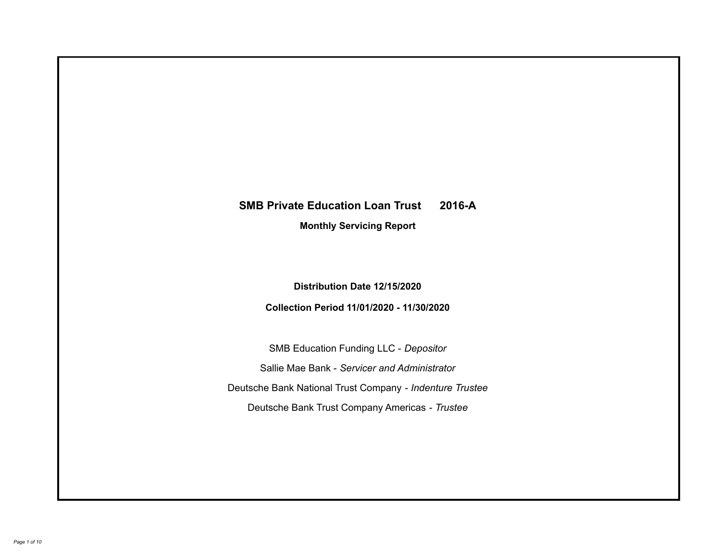# **SMB Private Education Loan Trust 2016-A Monthly Servicing Report**

**Distribution Date 12/15/2020**

**Collection Period 11/01/2020 - 11/30/2020**

SMB Education Funding LLC - *Depositor* Sallie Mae Bank - *Servicer and Administrator* Deutsche Bank National Trust Company - *Indenture Trustee* Deutsche Bank Trust Company Americas - *Trustee*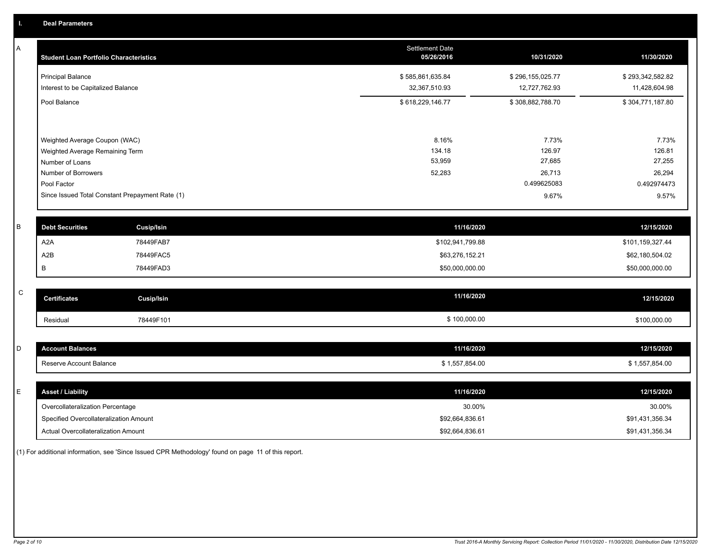| A           | <b>Student Loan Portfolio Characteristics</b> |                                                 | <b>Settlement Date</b><br>05/26/2016 | 10/31/2020       | 11/30/2020       |
|-------------|-----------------------------------------------|-------------------------------------------------|--------------------------------------|------------------|------------------|
|             | <b>Principal Balance</b>                      |                                                 | \$585,861,635.84                     | \$296,155,025.77 | \$293,342,582.82 |
|             | Interest to be Capitalized Balance            |                                                 | 32,367,510.93                        | 12,727,762.93    | 11,428,604.98    |
|             | Pool Balance                                  |                                                 | \$618,229,146.77                     | \$308,882,788.70 | \$304,771,187.80 |
|             | Weighted Average Coupon (WAC)                 |                                                 | 8.16%                                | 7.73%            | 7.73%            |
|             | Weighted Average Remaining Term               |                                                 | 134.18                               | 126.97           | 126.81           |
|             | Number of Loans                               |                                                 | 53,959                               | 27,685           | 27,255           |
|             | Number of Borrowers                           |                                                 | 52,283                               | 26,713           | 26,294           |
|             | Pool Factor                                   |                                                 |                                      | 0.499625083      | 0.492974473      |
|             |                                               | Since Issued Total Constant Prepayment Rate (1) |                                      | 9.67%            | 9.57%            |
| B           | <b>Debt Securities</b>                        | <b>Cusip/Isin</b>                               | 11/16/2020                           |                  | 12/15/2020       |
|             | A <sub>2</sub> A                              | 78449FAB7                                       | \$102,941,799.88                     |                  | \$101,159,327.44 |
|             | A2B                                           | 78449FAC5                                       | \$63,276,152.21                      |                  | \$62,180,504.02  |
|             | В                                             | 78449FAD3                                       | \$50,000,000.00                      |                  | \$50,000,000.00  |
| $\mathsf C$ | <b>Certificates</b>                           |                                                 | 11/16/2020                           |                  |                  |
|             |                                               | <b>Cusip/Isin</b>                               |                                      |                  | 12/15/2020       |
|             | Residual                                      | 78449F101                                       | \$100,000.00                         |                  | \$100,000.00     |
|             |                                               |                                                 |                                      |                  |                  |
| D           | <b>Account Balances</b>                       |                                                 | 11/16/2020                           |                  | 12/15/2020       |
|             | Reserve Account Balance                       |                                                 | \$1,557,854.00                       |                  | \$1,557,854.00   |
| E           | <b>Asset / Liability</b>                      |                                                 | 11/16/2020                           |                  | 12/15/2020       |
|             | Overcollateralization Percentage              |                                                 | 30.00%                               |                  | 30.00%           |
|             | Specified Overcollateralization Amount        |                                                 | \$92,664,836.61                      |                  | \$91,431,356.34  |

(1) For additional information, see 'Since Issued CPR Methodology' found on page 11 of this report.

Actual Overcollateralization Amount \$92,664,836.61

\$91,431,356.34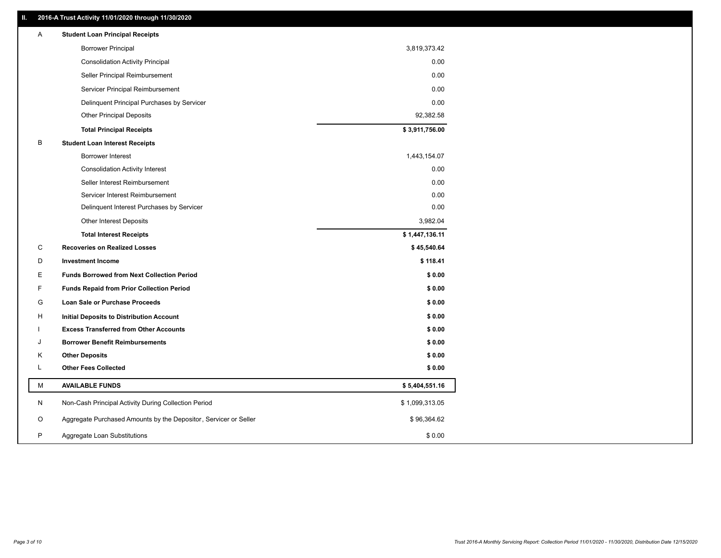## **II. 2016-A Trust Activity 11/01/2020 through 11/30/2020**

| <b>Borrower Principal</b><br>3,819,373.42<br>0.00<br><b>Consolidation Activity Principal</b><br>0.00<br>Seller Principal Reimbursement<br>0.00<br>Servicer Principal Reimbursement<br>0.00<br>Delinquent Principal Purchases by Servicer<br>92,382.58<br><b>Other Principal Deposits</b><br>\$3,911,756.00<br><b>Total Principal Receipts</b><br>B<br><b>Student Loan Interest Receipts</b><br>Borrower Interest<br>1,443,154.07<br>0.00<br><b>Consolidation Activity Interest</b><br>0.00<br>Seller Interest Reimbursement<br>0.00<br>Servicer Interest Reimbursement<br>0.00<br>Delinquent Interest Purchases by Servicer<br>3,982.04<br><b>Other Interest Deposits</b><br>\$1,447,136.11<br><b>Total Interest Receipts</b><br>C<br><b>Recoveries on Realized Losses</b><br>\$45,540.64<br>D<br><b>Investment Income</b><br>\$118.41<br>Е<br><b>Funds Borrowed from Next Collection Period</b><br>\$0.00<br>F<br>\$0.00<br><b>Funds Repaid from Prior Collection Period</b><br>G<br>\$0.00<br>Loan Sale or Purchase Proceeds<br>H<br>\$0.00<br>Initial Deposits to Distribution Account<br>\$0.00<br><b>Excess Transferred from Other Accounts</b><br><b>Borrower Benefit Reimbursements</b><br>\$0.00<br>J<br>Κ<br><b>Other Deposits</b><br>\$0.00<br><b>Other Fees Collected</b><br>L<br>\$0.00<br>М<br><b>AVAILABLE FUNDS</b><br>\$5,404,551.16<br>N<br>Non-Cash Principal Activity During Collection Period<br>\$1,099,313.05<br>Aggregate Purchased Amounts by the Depositor, Servicer or Seller<br>\$96,364.62<br>O<br>P<br>Aggregate Loan Substitutions<br>\$0.00 | Α | <b>Student Loan Principal Receipts</b> |  |
|----------------------------------------------------------------------------------------------------------------------------------------------------------------------------------------------------------------------------------------------------------------------------------------------------------------------------------------------------------------------------------------------------------------------------------------------------------------------------------------------------------------------------------------------------------------------------------------------------------------------------------------------------------------------------------------------------------------------------------------------------------------------------------------------------------------------------------------------------------------------------------------------------------------------------------------------------------------------------------------------------------------------------------------------------------------------------------------------------------------------------------------------------------------------------------------------------------------------------------------------------------------------------------------------------------------------------------------------------------------------------------------------------------------------------------------------------------------------------------------------------------------------------------------------------------------------------|---|----------------------------------------|--|
|                                                                                                                                                                                                                                                                                                                                                                                                                                                                                                                                                                                                                                                                                                                                                                                                                                                                                                                                                                                                                                                                                                                                                                                                                                                                                                                                                                                                                                                                                                                                                                            |   |                                        |  |
|                                                                                                                                                                                                                                                                                                                                                                                                                                                                                                                                                                                                                                                                                                                                                                                                                                                                                                                                                                                                                                                                                                                                                                                                                                                                                                                                                                                                                                                                                                                                                                            |   |                                        |  |
|                                                                                                                                                                                                                                                                                                                                                                                                                                                                                                                                                                                                                                                                                                                                                                                                                                                                                                                                                                                                                                                                                                                                                                                                                                                                                                                                                                                                                                                                                                                                                                            |   |                                        |  |
|                                                                                                                                                                                                                                                                                                                                                                                                                                                                                                                                                                                                                                                                                                                                                                                                                                                                                                                                                                                                                                                                                                                                                                                                                                                                                                                                                                                                                                                                                                                                                                            |   |                                        |  |
|                                                                                                                                                                                                                                                                                                                                                                                                                                                                                                                                                                                                                                                                                                                                                                                                                                                                                                                                                                                                                                                                                                                                                                                                                                                                                                                                                                                                                                                                                                                                                                            |   |                                        |  |
|                                                                                                                                                                                                                                                                                                                                                                                                                                                                                                                                                                                                                                                                                                                                                                                                                                                                                                                                                                                                                                                                                                                                                                                                                                                                                                                                                                                                                                                                                                                                                                            |   |                                        |  |
|                                                                                                                                                                                                                                                                                                                                                                                                                                                                                                                                                                                                                                                                                                                                                                                                                                                                                                                                                                                                                                                                                                                                                                                                                                                                                                                                                                                                                                                                                                                                                                            |   |                                        |  |
|                                                                                                                                                                                                                                                                                                                                                                                                                                                                                                                                                                                                                                                                                                                                                                                                                                                                                                                                                                                                                                                                                                                                                                                                                                                                                                                                                                                                                                                                                                                                                                            |   |                                        |  |
|                                                                                                                                                                                                                                                                                                                                                                                                                                                                                                                                                                                                                                                                                                                                                                                                                                                                                                                                                                                                                                                                                                                                                                                                                                                                                                                                                                                                                                                                                                                                                                            |   |                                        |  |
|                                                                                                                                                                                                                                                                                                                                                                                                                                                                                                                                                                                                                                                                                                                                                                                                                                                                                                                                                                                                                                                                                                                                                                                                                                                                                                                                                                                                                                                                                                                                                                            |   |                                        |  |
|                                                                                                                                                                                                                                                                                                                                                                                                                                                                                                                                                                                                                                                                                                                                                                                                                                                                                                                                                                                                                                                                                                                                                                                                                                                                                                                                                                                                                                                                                                                                                                            |   |                                        |  |
|                                                                                                                                                                                                                                                                                                                                                                                                                                                                                                                                                                                                                                                                                                                                                                                                                                                                                                                                                                                                                                                                                                                                                                                                                                                                                                                                                                                                                                                                                                                                                                            |   |                                        |  |
|                                                                                                                                                                                                                                                                                                                                                                                                                                                                                                                                                                                                                                                                                                                                                                                                                                                                                                                                                                                                                                                                                                                                                                                                                                                                                                                                                                                                                                                                                                                                                                            |   |                                        |  |
|                                                                                                                                                                                                                                                                                                                                                                                                                                                                                                                                                                                                                                                                                                                                                                                                                                                                                                                                                                                                                                                                                                                                                                                                                                                                                                                                                                                                                                                                                                                                                                            |   |                                        |  |
|                                                                                                                                                                                                                                                                                                                                                                                                                                                                                                                                                                                                                                                                                                                                                                                                                                                                                                                                                                                                                                                                                                                                                                                                                                                                                                                                                                                                                                                                                                                                                                            |   |                                        |  |
|                                                                                                                                                                                                                                                                                                                                                                                                                                                                                                                                                                                                                                                                                                                                                                                                                                                                                                                                                                                                                                                                                                                                                                                                                                                                                                                                                                                                                                                                                                                                                                            |   |                                        |  |
|                                                                                                                                                                                                                                                                                                                                                                                                                                                                                                                                                                                                                                                                                                                                                                                                                                                                                                                                                                                                                                                                                                                                                                                                                                                                                                                                                                                                                                                                                                                                                                            |   |                                        |  |
|                                                                                                                                                                                                                                                                                                                                                                                                                                                                                                                                                                                                                                                                                                                                                                                                                                                                                                                                                                                                                                                                                                                                                                                                                                                                                                                                                                                                                                                                                                                                                                            |   |                                        |  |
|                                                                                                                                                                                                                                                                                                                                                                                                                                                                                                                                                                                                                                                                                                                                                                                                                                                                                                                                                                                                                                                                                                                                                                                                                                                                                                                                                                                                                                                                                                                                                                            |   |                                        |  |
|                                                                                                                                                                                                                                                                                                                                                                                                                                                                                                                                                                                                                                                                                                                                                                                                                                                                                                                                                                                                                                                                                                                                                                                                                                                                                                                                                                                                                                                                                                                                                                            |   |                                        |  |
|                                                                                                                                                                                                                                                                                                                                                                                                                                                                                                                                                                                                                                                                                                                                                                                                                                                                                                                                                                                                                                                                                                                                                                                                                                                                                                                                                                                                                                                                                                                                                                            |   |                                        |  |
|                                                                                                                                                                                                                                                                                                                                                                                                                                                                                                                                                                                                                                                                                                                                                                                                                                                                                                                                                                                                                                                                                                                                                                                                                                                                                                                                                                                                                                                                                                                                                                            |   |                                        |  |
|                                                                                                                                                                                                                                                                                                                                                                                                                                                                                                                                                                                                                                                                                                                                                                                                                                                                                                                                                                                                                                                                                                                                                                                                                                                                                                                                                                                                                                                                                                                                                                            |   |                                        |  |
|                                                                                                                                                                                                                                                                                                                                                                                                                                                                                                                                                                                                                                                                                                                                                                                                                                                                                                                                                                                                                                                                                                                                                                                                                                                                                                                                                                                                                                                                                                                                                                            |   |                                        |  |
|                                                                                                                                                                                                                                                                                                                                                                                                                                                                                                                                                                                                                                                                                                                                                                                                                                                                                                                                                                                                                                                                                                                                                                                                                                                                                                                                                                                                                                                                                                                                                                            |   |                                        |  |
|                                                                                                                                                                                                                                                                                                                                                                                                                                                                                                                                                                                                                                                                                                                                                                                                                                                                                                                                                                                                                                                                                                                                                                                                                                                                                                                                                                                                                                                                                                                                                                            |   |                                        |  |
|                                                                                                                                                                                                                                                                                                                                                                                                                                                                                                                                                                                                                                                                                                                                                                                                                                                                                                                                                                                                                                                                                                                                                                                                                                                                                                                                                                                                                                                                                                                                                                            |   |                                        |  |
|                                                                                                                                                                                                                                                                                                                                                                                                                                                                                                                                                                                                                                                                                                                                                                                                                                                                                                                                                                                                                                                                                                                                                                                                                                                                                                                                                                                                                                                                                                                                                                            |   |                                        |  |
|                                                                                                                                                                                                                                                                                                                                                                                                                                                                                                                                                                                                                                                                                                                                                                                                                                                                                                                                                                                                                                                                                                                                                                                                                                                                                                                                                                                                                                                                                                                                                                            |   |                                        |  |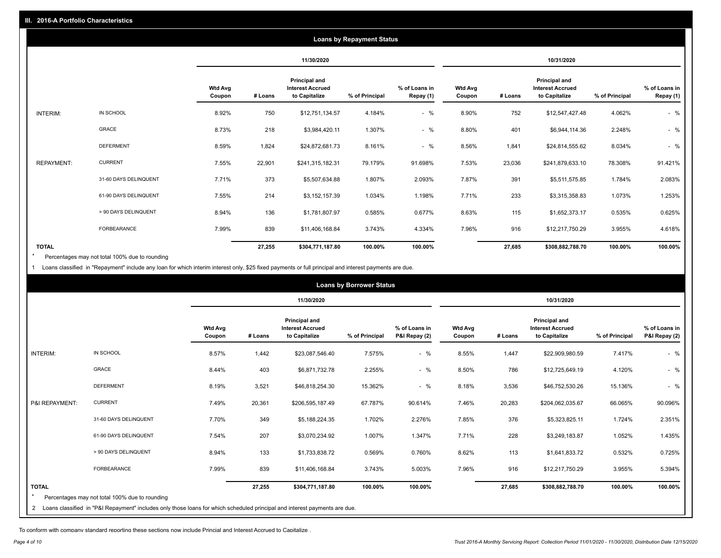| <b>Loans by Repayment Status</b> |                       |                          |            |                                                                  |                |                            |                          |         |                                                                  |                |                            |
|----------------------------------|-----------------------|--------------------------|------------|------------------------------------------------------------------|----------------|----------------------------|--------------------------|---------|------------------------------------------------------------------|----------------|----------------------------|
|                                  |                       |                          | 11/30/2020 |                                                                  |                | 10/31/2020                 |                          |         |                                                                  |                |                            |
|                                  |                       | <b>Wtd Avg</b><br>Coupon | # Loans    | <b>Principal and</b><br><b>Interest Accrued</b><br>to Capitalize | % of Principal | % of Loans in<br>Repay (1) | <b>Wtd Avg</b><br>Coupon | # Loans | <b>Principal and</b><br><b>Interest Accrued</b><br>to Capitalize | % of Principal | % of Loans in<br>Repay (1) |
| INTERIM:                         | IN SCHOOL             | 8.92%                    | 750        | \$12,751,134.57                                                  | 4.184%         | $-$ %                      | 8.90%                    | 752     | \$12,547,427.48                                                  | 4.062%         | $-$ %                      |
|                                  | GRACE                 | 8.73%                    | 218        | \$3,984,420.11                                                   | 1.307%         | $-$ %                      | 8.80%                    | 401     | \$6,944,114.36                                                   | 2.248%         | $-$ %                      |
|                                  | <b>DEFERMENT</b>      | 8.59%                    | 1,824      | \$24,872,681.73                                                  | 8.161%         | $-$ %                      | 8.56%                    | 1,841   | \$24,814,555.62                                                  | 8.034%         | $-$ %                      |
| <b>REPAYMENT:</b>                | <b>CURRENT</b>        | 7.55%                    | 22,901     | \$241,315,182.31                                                 | 79.179%        | 91.698%                    | 7.53%                    | 23,036  | \$241,879,633.10                                                 | 78.308%        | 91.421%                    |
|                                  | 31-60 DAYS DELINQUENT | 7.71%                    | 373        | \$5,507,634.88                                                   | 1.807%         | 2.093%                     | 7.87%                    | 391     | \$5,511,575.85                                                   | 1.784%         | 2.083%                     |
|                                  | 61-90 DAYS DELINQUENT | 7.55%                    | 214        | \$3,152,157.39                                                   | 1.034%         | 1.198%                     | 7.71%                    | 233     | \$3,315,358.83                                                   | 1.073%         | 1.253%                     |
|                                  | > 90 DAYS DELINQUENT  | 8.94%                    | 136        | \$1,781,807.97                                                   | 0.585%         | 0.677%                     | 8.63%                    | 115     | \$1,652,373.17                                                   | 0.535%         | 0.625%                     |
|                                  | FORBEARANCE           | 7.99%                    | 839        | \$11,406,168.84                                                  | 3.743%         | 4.334%                     | 7.96%                    | 916     | \$12,217,750.29                                                  | 3.955%         | 4.618%                     |
| <b>TOTAL</b>                     |                       |                          | 27,255     | \$304,771,187.80                                                 | 100.00%        | 100.00%                    |                          | 27,685  | \$308,882,788.70                                                 | 100.00%        | 100.00%                    |

Percentages may not total 100% due to rounding \*

1 Loans classified in "Repayment" include any loan for which interim interest only, \$25 fixed payments or full principal and interest payments are due.

| <b>Loans by Borrower Status</b> |                                                                                                                              |                          |         |                                                           |                |                                |                          |         |                                                           |                |                                |
|---------------------------------|------------------------------------------------------------------------------------------------------------------------------|--------------------------|---------|-----------------------------------------------------------|----------------|--------------------------------|--------------------------|---------|-----------------------------------------------------------|----------------|--------------------------------|
|                                 |                                                                                                                              |                          |         | 11/30/2020                                                |                |                                | 10/31/2020               |         |                                                           |                |                                |
|                                 |                                                                                                                              | <b>Wtd Avg</b><br>Coupon | # Loans | Principal and<br><b>Interest Accrued</b><br>to Capitalize | % of Principal | % of Loans in<br>P&I Repay (2) | <b>Wtd Avg</b><br>Coupon | # Loans | Principal and<br><b>Interest Accrued</b><br>to Capitalize | % of Principal | % of Loans in<br>P&I Repay (2) |
| <b>INTERIM:</b>                 | IN SCHOOL                                                                                                                    | 8.57%                    | 1,442   | \$23,087,546.40                                           | 7.575%         | $-$ %                          | 8.55%                    | 1,447   | \$22,909,980.59                                           | 7.417%         | $-$ %                          |
|                                 | <b>GRACE</b>                                                                                                                 | 8.44%                    | 403     | \$6,871,732.78                                            | 2.255%         | $-$ %                          | 8.50%                    | 786     | \$12,725,649.19                                           | 4.120%         | $-$ %                          |
|                                 | <b>DEFERMENT</b>                                                                                                             | 8.19%                    | 3,521   | \$46,818,254.30                                           | 15.362%        | $-$ %                          | 8.18%                    | 3,536   | \$46,752,530.26                                           | 15.136%        | $-$ %                          |
| P&I REPAYMENT:                  | <b>CURRENT</b>                                                                                                               | 7.49%                    | 20,361  | \$206,595,187.49                                          | 67.787%        | 90.614%                        | 7.46%                    | 20,283  | \$204,062,035.67                                          | 66.065%        | 90.096%                        |
|                                 | 31-60 DAYS DELINQUENT                                                                                                        | 7.70%                    | 349     | \$5,188,224.35                                            | 1.702%         | 2.276%                         | 7.85%                    | 376     | \$5,323,825.11                                            | 1.724%         | 2.351%                         |
|                                 | 61-90 DAYS DELINQUENT                                                                                                        | 7.54%                    | 207     | \$3,070,234.92                                            | 1.007%         | 1.347%                         | 7.71%                    | 228     | \$3,249,183.87                                            | 1.052%         | 1.435%                         |
|                                 | > 90 DAYS DELINQUENT                                                                                                         | 8.94%                    | 133     | \$1,733,838.72                                            | 0.569%         | 0.760%                         | 8.62%                    | 113     | \$1,641,833.72                                            | 0.532%         | 0.725%                         |
|                                 | <b>FORBEARANCE</b>                                                                                                           | 7.99%                    | 839     | \$11,406,168.84                                           | 3.743%         | 5.003%                         | 7.96%                    | 916     | \$12,217,750.29                                           | 3.955%         | 5.394%                         |
| <b>TOTAL</b>                    | Percentages may not total 100% due to rounding                                                                               |                          | 27,255  | \$304,771,187.80                                          | 100.00%        | 100.00%                        |                          | 27,685  | \$308,882,788.70                                          | 100.00%        | 100.00%                        |
|                                 | 2 Loans classified in "P&I Repayment" includes only those loans for which scheduled principal and interest payments are due. |                          |         |                                                           |                |                                |                          |         |                                                           |                |                                |

To conform with company standard reporting these sections now include Princial and Interest Accrued to Capitalize .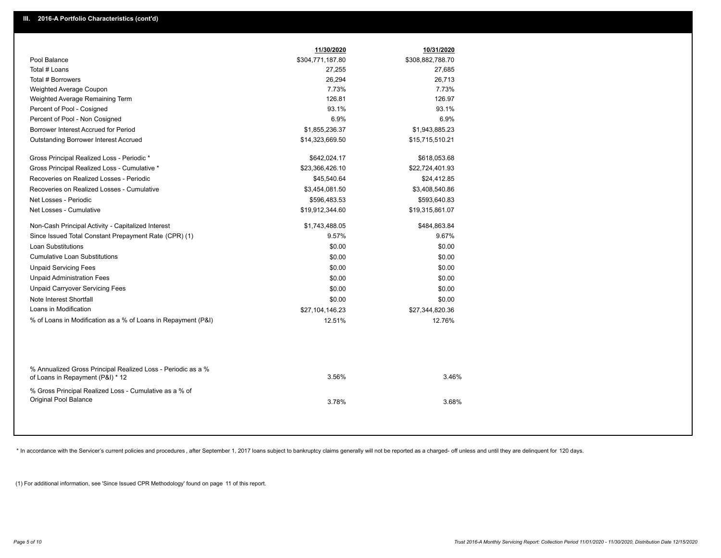|                                                               | 11/30/2020                     | 10/31/2020       |  |
|---------------------------------------------------------------|--------------------------------|------------------|--|
| Pool Balance                                                  | \$304,771,187.80               | \$308,882,788.70 |  |
| Total # Loans                                                 | 27,255                         | 27,685           |  |
| Total # Borrowers                                             | 26,294                         | 26,713           |  |
| Weighted Average Coupon                                       | 7.73%                          | 7.73%            |  |
| Weighted Average Remaining Term                               | 126.81                         | 126.97           |  |
| Percent of Pool - Cosigned                                    | 93.1%                          | 93.1%            |  |
| Percent of Pool - Non Cosigned                                | 6.9%                           | 6.9%             |  |
| Borrower Interest Accrued for Period                          | \$1,855,236.37                 | \$1,943,885.23   |  |
| Outstanding Borrower Interest Accrued                         | \$14,323,669.50                | \$15,715,510.21  |  |
| Gross Principal Realized Loss - Periodic *                    | \$642,024.17                   | \$618,053.68     |  |
| Gross Principal Realized Loss - Cumulative *                  |                                |                  |  |
| Recoveries on Realized Losses - Periodic                      | \$23,366,426.10<br>\$45,540.64 | \$22,724,401.93  |  |
|                                                               |                                | \$24,412.85      |  |
| Recoveries on Realized Losses - Cumulative                    | \$3,454,081.50                 | \$3,408,540.86   |  |
| Net Losses - Periodic                                         | \$596,483.53                   | \$593,640.83     |  |
| Net Losses - Cumulative                                       | \$19,912,344.60                | \$19,315,861.07  |  |
| Non-Cash Principal Activity - Capitalized Interest            | \$1,743,488.05                 | \$484,863.84     |  |
| Since Issued Total Constant Prepayment Rate (CPR) (1)         | 9.57%                          | 9.67%            |  |
| Loan Substitutions                                            | \$0.00                         | \$0.00           |  |
| <b>Cumulative Loan Substitutions</b>                          | \$0.00                         | \$0.00           |  |
| <b>Unpaid Servicing Fees</b>                                  | \$0.00                         | \$0.00           |  |
| <b>Unpaid Administration Fees</b>                             | \$0.00                         | \$0.00           |  |
| <b>Unpaid Carryover Servicing Fees</b>                        | \$0.00                         | \$0.00           |  |
| Note Interest Shortfall                                       | \$0.00                         | \$0.00           |  |
| Loans in Modification                                         | \$27,104,146.23                | \$27,344,820.36  |  |
| % of Loans in Modification as a % of Loans in Repayment (P&I) | 12.51%                         | 12.76%           |  |
|                                                               |                                |                  |  |
|                                                               |                                |                  |  |
|                                                               |                                |                  |  |
| % Annualized Gross Principal Realized Loss - Periodic as a %  |                                |                  |  |
| of Loans in Repayment (P&I) * 12                              | 3.56%                          | 3.46%            |  |
| % Gross Principal Realized Loss - Cumulative as a % of        |                                |                  |  |
| Original Pool Balance                                         | 3.78%                          | 3.68%            |  |
|                                                               |                                |                  |  |
|                                                               |                                |                  |  |

\* In accordance with the Servicer's current policies and procedures, after September 1, 2017 loans subject to bankruptcy claims generally will not be reported as a charged- off unless and until they are delinquent for 120

(1) For additional information, see 'Since Issued CPR Methodology' found on page 11 of this report.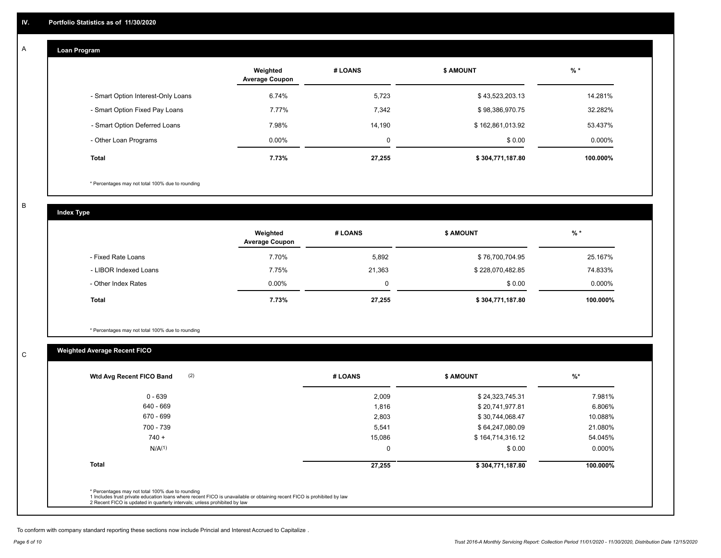#### **Loan Program**  A

|                                    | Weighted<br><b>Average Coupon</b> | # LOANS     | <b>\$ AMOUNT</b> | $%$ *     |
|------------------------------------|-----------------------------------|-------------|------------------|-----------|
| - Smart Option Interest-Only Loans | 6.74%                             | 5,723       | \$43,523,203.13  | 14.281%   |
| - Smart Option Fixed Pay Loans     | 7.77%                             | 7,342       | \$98,386,970.75  | 32.282%   |
| - Smart Option Deferred Loans      | 7.98%                             | 14.190      | \$162,861,013.92 | 53.437%   |
| - Other Loan Programs              | $0.00\%$                          | $\mathbf 0$ | \$0.00           | $0.000\%$ |
| Total                              | 7.73%                             | 27,255      | \$304,771,187.80 | 100.000%  |

\* Percentages may not total 100% due to rounding

B

C

**Index Type**

|                       | Weighted<br><b>Average Coupon</b> | # LOANS | <b>\$ AMOUNT</b> | $%$ *    |
|-----------------------|-----------------------------------|---------|------------------|----------|
| - Fixed Rate Loans    | 7.70%                             | 5,892   | \$76,700,704.95  | 25.167%  |
| - LIBOR Indexed Loans | 7.75%                             | 21,363  | \$228,070,482.85 | 74.833%  |
| - Other Index Rates   | $0.00\%$                          | 0       | \$0.00           | 0.000%   |
| Total                 | 7.73%                             | 27,255  | \$304,771,187.80 | 100.000% |

\* Percentages may not total 100% due to rounding

# **Weighted Average Recent FICO**

| (2)<br>Wtd Avg Recent FICO Band                                                                                                                                             | # LOANS | <b>\$ AMOUNT</b> | $%$ *    |
|-----------------------------------------------------------------------------------------------------------------------------------------------------------------------------|---------|------------------|----------|
| $0 - 639$                                                                                                                                                                   | 2,009   | \$24,323,745.31  | 7.981%   |
| 640 - 669                                                                                                                                                                   | 1,816   | \$20,741,977.81  | 6.806%   |
| 670 - 699                                                                                                                                                                   | 2,803   | \$30,744,068.47  | 10.088%  |
| 700 - 739                                                                                                                                                                   | 5,541   | \$64,247,080.09  | 21.080%  |
| $740 +$                                                                                                                                                                     | 15,086  | \$164,714,316.12 | 54.045%  |
| N/A <sup>(1)</sup>                                                                                                                                                          | 0       | \$0.00           | 0.000%   |
| <b>Total</b>                                                                                                                                                                | 27,255  | \$304,771,187.80 | 100.000% |
| * Percentages may not total 100% due to rounding<br>1 Includes trust private education loans where recent FICO is unavailable or obtaining recent FICO is prohibited by law |         |                  |          |

To conform with company standard reporting these sections now include Princial and Interest Accrued to Capitalize .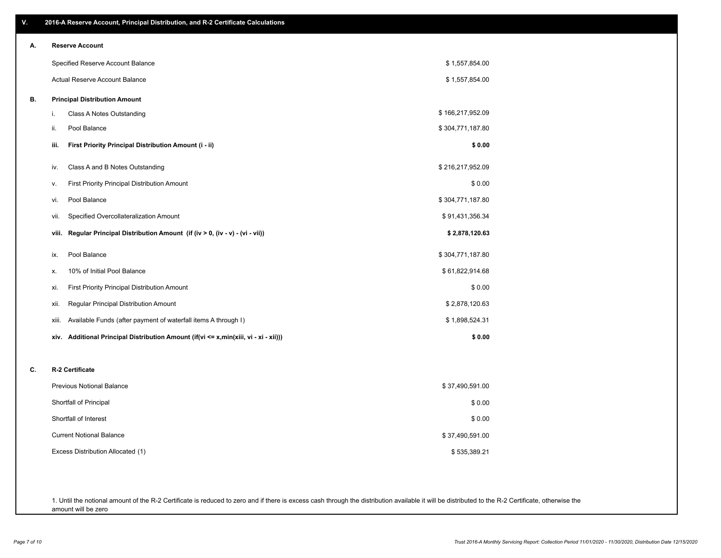| А. | <b>Reserve Account</b>                                                                  |                  |
|----|-----------------------------------------------------------------------------------------|------------------|
|    | Specified Reserve Account Balance                                                       | \$1,557,854.00   |
|    | <b>Actual Reserve Account Balance</b>                                                   | \$1,557,854.00   |
| В. | <b>Principal Distribution Amount</b>                                                    |                  |
|    | i.<br>Class A Notes Outstanding                                                         | \$166,217,952.09 |
|    | ii.<br>Pool Balance                                                                     | \$304,771,187.80 |
|    | First Priority Principal Distribution Amount (i - ii)<br>iii.                           | \$0.00           |
|    | Class A and B Notes Outstanding<br>iv.                                                  | \$216,217,952.09 |
|    | First Priority Principal Distribution Amount<br>v.                                      | \$0.00           |
|    | Pool Balance<br>vi.                                                                     | \$304,771,187.80 |
|    | Specified Overcollateralization Amount<br>vii.                                          | \$91,431,356.34  |
|    | Regular Principal Distribution Amount (if (iv > 0, (iv - v) - (vi - vii))<br>viii.      | \$2,878,120.63   |
|    | Pool Balance<br>ix.                                                                     | \$304,771,187.80 |
|    | 10% of Initial Pool Balance<br>Х.                                                       | \$61,822,914.68  |
|    | First Priority Principal Distribution Amount<br>xi.                                     | \$0.00           |
|    | Regular Principal Distribution Amount<br>Xii.                                           | \$2,878,120.63   |
|    | Available Funds (after payment of waterfall items A through I)<br>xiii.                 | \$1,898,524.31   |
|    | Additional Principal Distribution Amount (if(vi <= x,min(xiii, vi - xi - xii)))<br>xiv. | \$0.00           |
| C. | R-2 Certificate                                                                         |                  |
|    | <b>Previous Notional Balance</b>                                                        | \$37,490,591.00  |
|    | Shortfall of Principal                                                                  | \$0.00           |
|    | Shortfall of Interest                                                                   | \$0.00           |
|    | <b>Current Notional Balance</b>                                                         | \$37,490,591.00  |
|    | Excess Distribution Allocated (1)                                                       | \$535,389.21     |

1. Until the notional amount of the R-2 Certificate is reduced to zero and if there is excess cash through the distribution available it will be distributed to the R-2 Certificate, otherwise the amount will be zero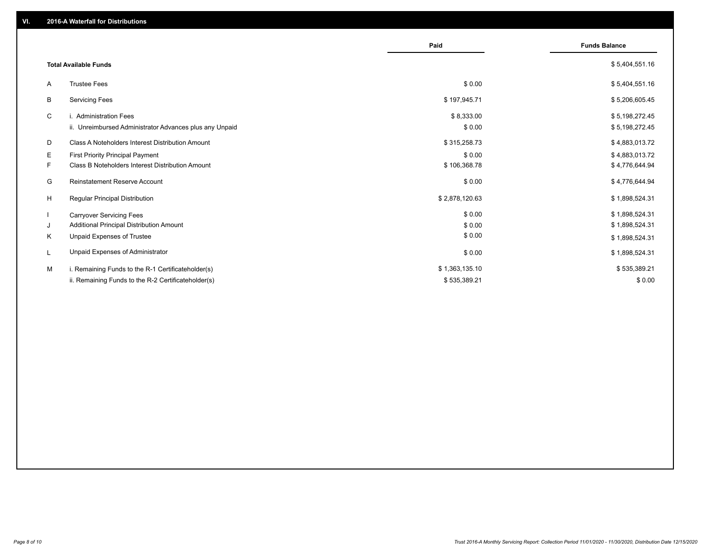|                                                               | Paid           | <b>Funds Balance</b> |
|---------------------------------------------------------------|----------------|----------------------|
| <b>Total Available Funds</b>                                  |                | \$5,404,551.16       |
| <b>Trustee Fees</b><br>A                                      | \$0.00         | \$5,404,551.16       |
| B<br><b>Servicing Fees</b>                                    | \$197,945.71   | \$5,206,605.45       |
| C<br>i. Administration Fees                                   | \$8,333.00     | \$5,198,272.45       |
| ii. Unreimbursed Administrator Advances plus any Unpaid       | \$0.00         | \$5,198,272.45       |
| D<br>Class A Noteholders Interest Distribution Amount         | \$315,258.73   | \$4,883,013.72       |
| E.<br><b>First Priority Principal Payment</b>                 | \$0.00         | \$4,883,013.72       |
| F.<br><b>Class B Noteholders Interest Distribution Amount</b> | \$106,368.78   | \$4,776,644.94       |
| G<br><b>Reinstatement Reserve Account</b>                     | \$0.00         | \$4,776,644.94       |
| H<br><b>Regular Principal Distribution</b>                    | \$2,878,120.63 | \$1,898,524.31       |
| -1<br><b>Carryover Servicing Fees</b>                         | \$0.00         | \$1,898,524.31       |
| Additional Principal Distribution Amount<br>J                 | \$0.00         | \$1,898,524.31       |
| Κ<br>Unpaid Expenses of Trustee                               | \$0.00         | \$1,898,524.31       |
| Unpaid Expenses of Administrator<br>L                         | \$0.00         | \$1,898,524.31       |
| М<br>i. Remaining Funds to the R-1 Certificateholder(s)       | \$1,363,135.10 | \$535,389.21         |
| ii. Remaining Funds to the R-2 Certificateholder(s)           | \$535,389.21   | \$0.00               |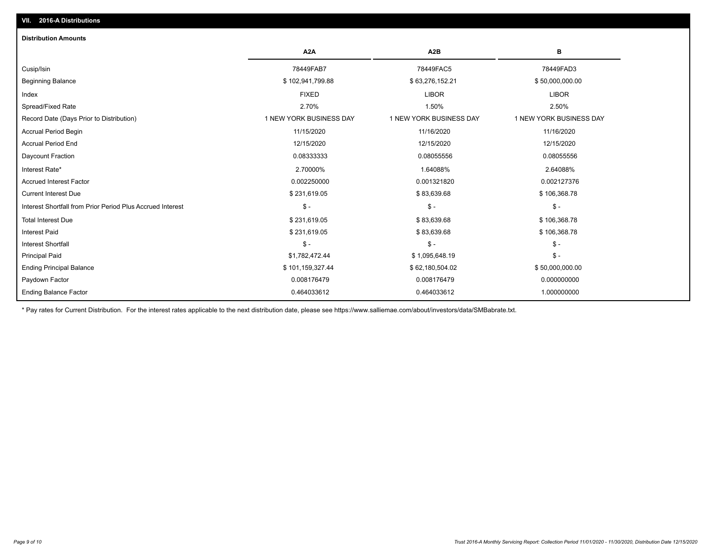# Ending Balance Factor Paydown Factor 0.008176479 0.008176479 0.000000000 Ending Principal Balance \$ 101,159,327.44 \$ \$62,180,504.02 \$ \$62,180,504.02 \$ 50,000,000.00 Principal Paid \$1,782,472.44 \$ 1,095,648.19 \$ - Interest Shortfall \$ - \$ - \$ - Interest Paid \$ 231,619.05 \$ 83,639.68 \$ 106,368.78 Total Interest Due \$ 231,619.05 \$ 83,639.68 \$ 106,368.78 Interest Shortfall from Prior Period Plus Accrued Interest \$ - \$ - \$ - Current Interest Due \$ 231,619.05 \$ 83,639.68 \$ 106,368.78 Accrued Interest Factor 0.002250000 0.001321820 0.002127376 Interest Rate\* 2.70000% 1.64088% 2.64088% Daycount Fraction 0.08333333 0.08055556 0.08055556 Accrual Period End 12/15/2020 12/15/2020 12/15/2020 Accrual Period Begin 11/15/2020 11/16/2020 11/16/2020 Record Date (Days Prior to Distribution) 1 1 NEW YORK BUSINESS DAY 1 NEW YORK BUSINESS DAY 1 NEW YORK BUSINESS DAY Spread/Fixed Rate 2.70% 1.50% 2.50% Index FIXED LIBOR LIBOR Beginning Balance \$ 102,941,799.88 \$ 63,276,152.21 \$ 50,000,000.00 Cusip/Isin 78449FAB7 78449FAC5 78449FAD3 **A2A A2B B** 0.464033612 0.464033612 1.000000000 **Distribution Amounts**

\* Pay rates for Current Distribution. For the interest rates applicable to the next distribution date, please see https://www.salliemae.com/about/investors/data/SMBabrate.txt.

**VII. 2016-A Distributions**